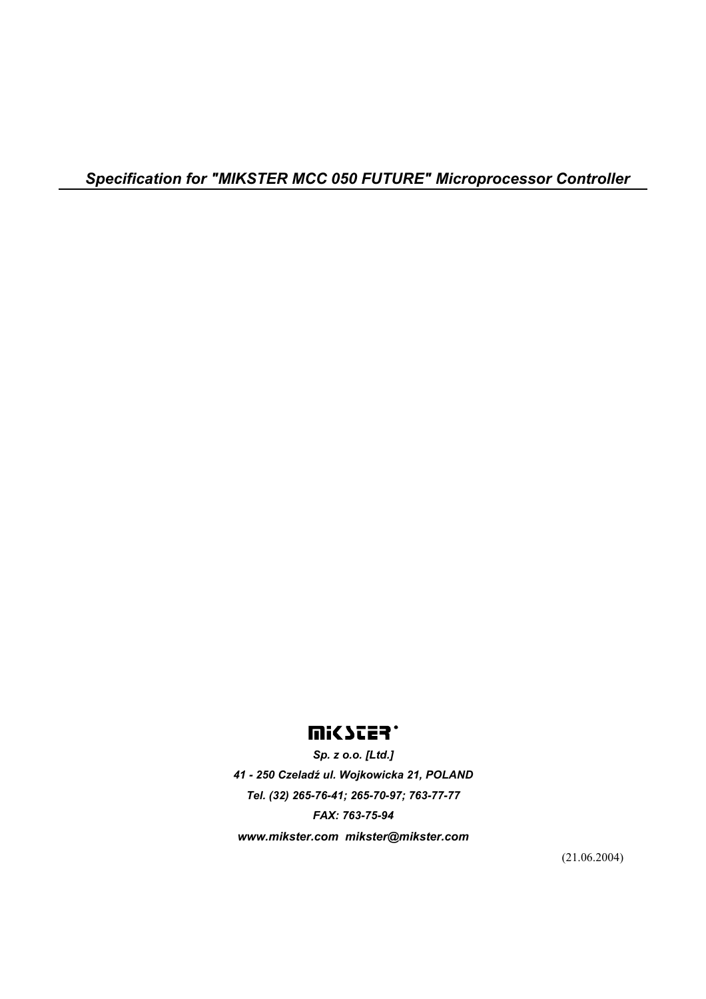# **MICSTER**.

*Sp. z o.o. [Ltd.] 41 - 250 Czeladź ul. Wojkowicka 21, POLAND Tel. (32) 265-76-41; 265-70-97; 763-77-77 FAX: 763-75-94 www.mikster.com mikster@mikster.com* 

(21.06.2004)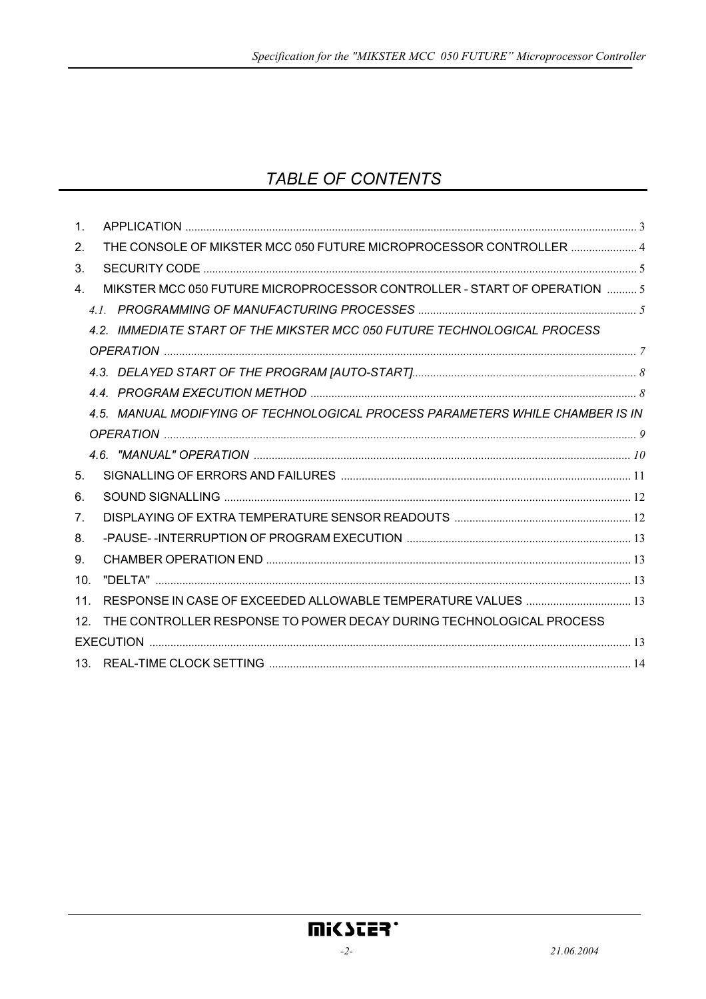# TABLE OF CONTENTS

| 1 <sub>1</sub>  |                                                                               |  |
|-----------------|-------------------------------------------------------------------------------|--|
| 2.              | THE CONSOLE OF MIKSTER MCC 050 FUTURE MICROPROCESSOR CONTROLLER  4            |  |
| 3.              |                                                                               |  |
| 4.              | MIKSTER MCC 050 FUTURE MICROPROCESSOR CONTROLLER - START OF OPERATION  5      |  |
|                 |                                                                               |  |
|                 | 4.2. IMMEDIATE START OF THE MIKSTER MCC 050 FUTURE TECHNOLOGICAL PROCESS      |  |
|                 |                                                                               |  |
|                 |                                                                               |  |
|                 |                                                                               |  |
|                 | 4.5. MANUAL MODIFYING OF TECHNOLOGICAL PROCESS PARAMETERS WHILE CHAMBER IS IN |  |
|                 |                                                                               |  |
|                 |                                                                               |  |
| 5 <sub>1</sub>  |                                                                               |  |
| 6.              |                                                                               |  |
| 7 <sub>1</sub>  |                                                                               |  |
| 8.              |                                                                               |  |
| 9.              |                                                                               |  |
| 10 <sub>1</sub> |                                                                               |  |
| 11 <sub>1</sub> |                                                                               |  |
| 12 <sub>1</sub> | THE CONTROLLER RESPONSE TO POWER DECAY DURING TECHNOLOGICAL PROCESS           |  |
|                 |                                                                               |  |
|                 |                                                                               |  |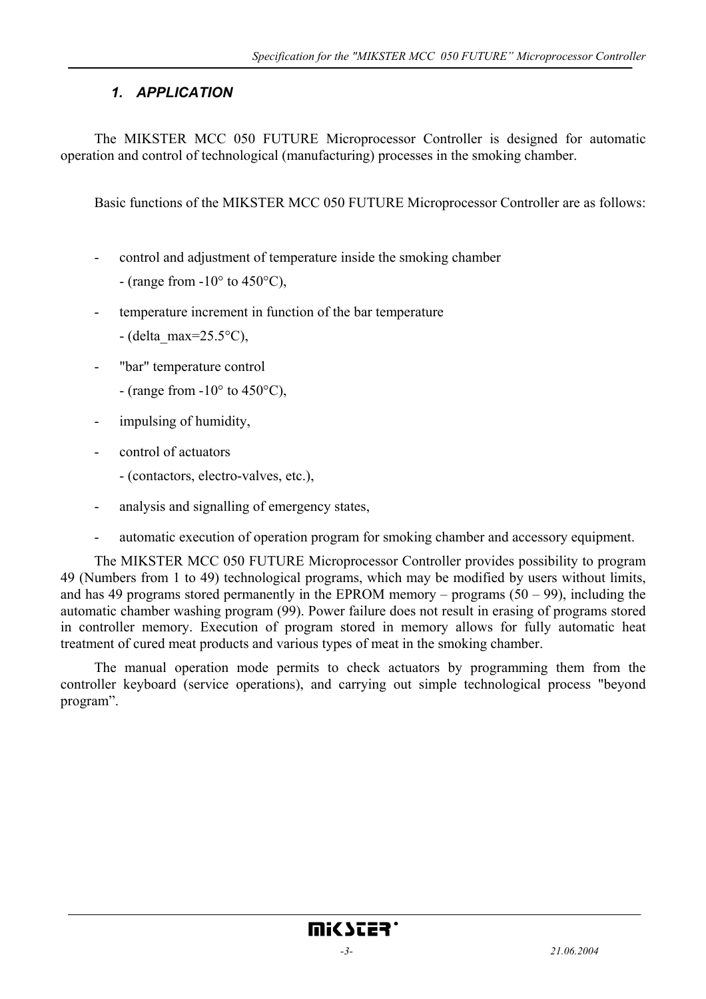# *1. APPLICATION*

The MIKSTER MCC 050 FUTURE Microprocessor Controller is designed for automatic operation and control of technological (manufacturing) processes in the smoking chamber.

Basic functions of the MIKSTER MCC 050 FUTURE Microprocessor Controller are as follows:

- control and adjustment of temperature inside the smoking chamber
	- (range from  $-10^{\circ}$  to  $450^{\circ}$ C),
- temperature increment in function of the bar temperature
	- $-$  (delta\_max=25.5 $\rm ^{o}C$ ),
- "bar" temperature control
	- (range from  $-10^{\circ}$  to  $450^{\circ}$ C),
- impulsing of humidity,
- control of actuators
	- (contactors, electro-valves, etc.),
- analysis and signalling of emergency states,
- automatic execution of operation program for smoking chamber and accessory equipment.

The MIKSTER MCC 050 FUTURE Microprocessor Controller provides possibility to program 49 (Numbers from 1 to 49) technological programs, which may be modified by users without limits, and has 49 programs stored permanently in the EPROM memory – programs  $(50 - 99)$ , including the automatic chamber washing program (99). Power failure does not result in erasing of programs stored in controller memory. Execution of program stored in memory allows for fully automatic heat treatment of cured meat products and various types of meat in the smoking chamber.

The manual operation mode permits to check actuators by programming them from the controller keyboard (service operations), and carrying out simple technological process "beyond program".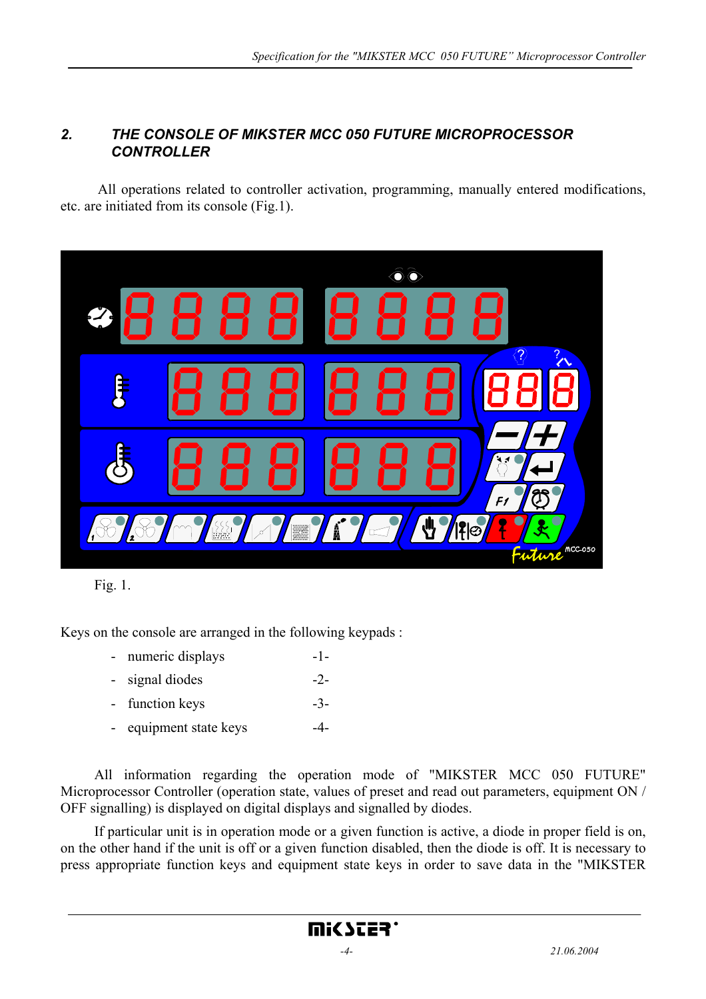## *2. THE CONSOLE OF MIKSTER MCC 050 FUTURE MICROPROCESSOR CONTROLLER*

 All operations related to controller activation, programming, manually entered modifications, etc. are initiated from its console (Fig.1).





Keys on the console are arranged in the following keypads :

- numeric displays -1-
- signal diodes -2-
- function keys -3-
- equipment state keys -4-

All information regarding the operation mode of "MIKSTER MCC 050 FUTURE" Microprocessor Controller (operation state, values of preset and read out parameters, equipment ON / OFF signalling) is displayed on digital displays and signalled by diodes.

If particular unit is in operation mode or a given function is active, a diode in proper field is on, on the other hand if the unit is off or a given function disabled, then the diode is off. It is necessary to press appropriate function keys and equipment state keys in order to save data in the "MIKSTER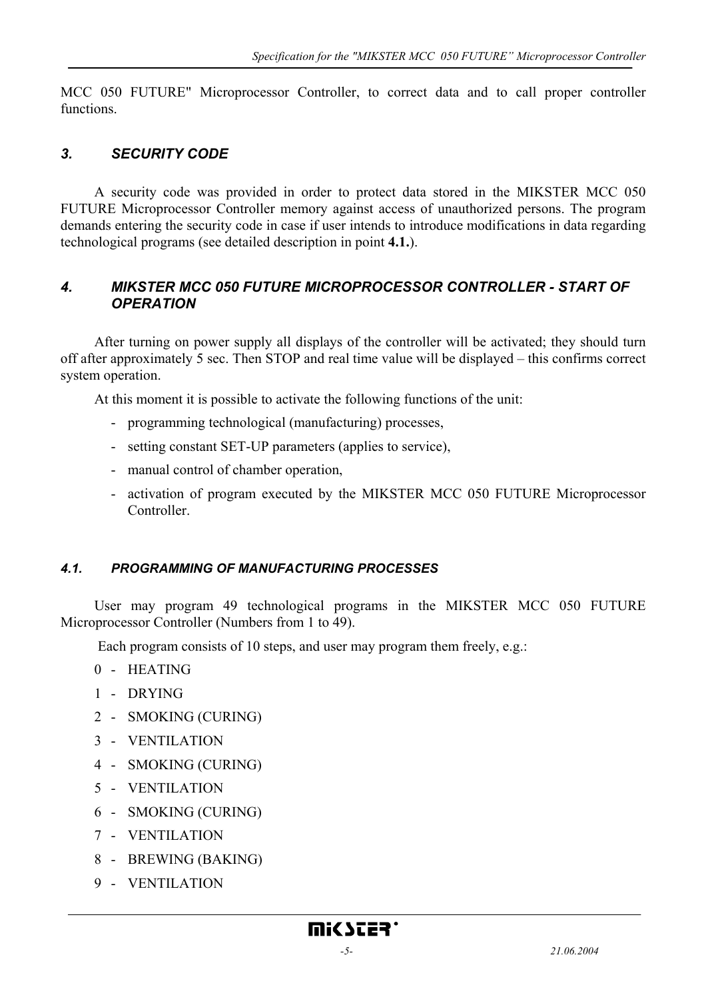MCC 050 FUTURE" Microprocessor Controller, to correct data and to call proper controller functions.

# *3. SECURITY CODE*

A security code was provided in order to protect data stored in the MIKSTER MCC 050 FUTURE Microprocessor Controller memory against access of unauthorized persons. The program demands entering the security code in case if user intends to introduce modifications in data regarding technological programs (see detailed description in point **4.1.**).

#### *4. MIKSTER MCC 050 FUTURE MICROPROCESSOR CONTROLLER - START OF OPERATION*

After turning on power supply all displays of the controller will be activated; they should turn off after approximately 5 sec. Then STOP and real time value will be displayed – this confirms correct system operation.

At this moment it is possible to activate the following functions of the unit:

- programming technological (manufacturing) processes,
- setting constant SET-UP parameters (applies to service),
- manual control of chamber operation,
- activation of program executed by the MIKSTER MCC 050 FUTURE Microprocessor **Controller**

#### *4.1. PROGRAMMING OF MANUFACTURING PROCESSES*

User may program 49 technological programs in the MIKSTER MCC 050 FUTURE Microprocessor Controller (Numbers from 1 to 49).

Each program consists of 10 steps, and user may program them freely, e.g.:

- 0 HEATING
- 1 DRYING
- 2 SMOKING (CURING)
- 3 VENTILATION
- 4 SMOKING (CURING)
- 5 VENTILATION
- 6 SMOKING (CURING)
- 7 VENTILATION
- 8 BREWING (BAKING)
- 9 VENTILATION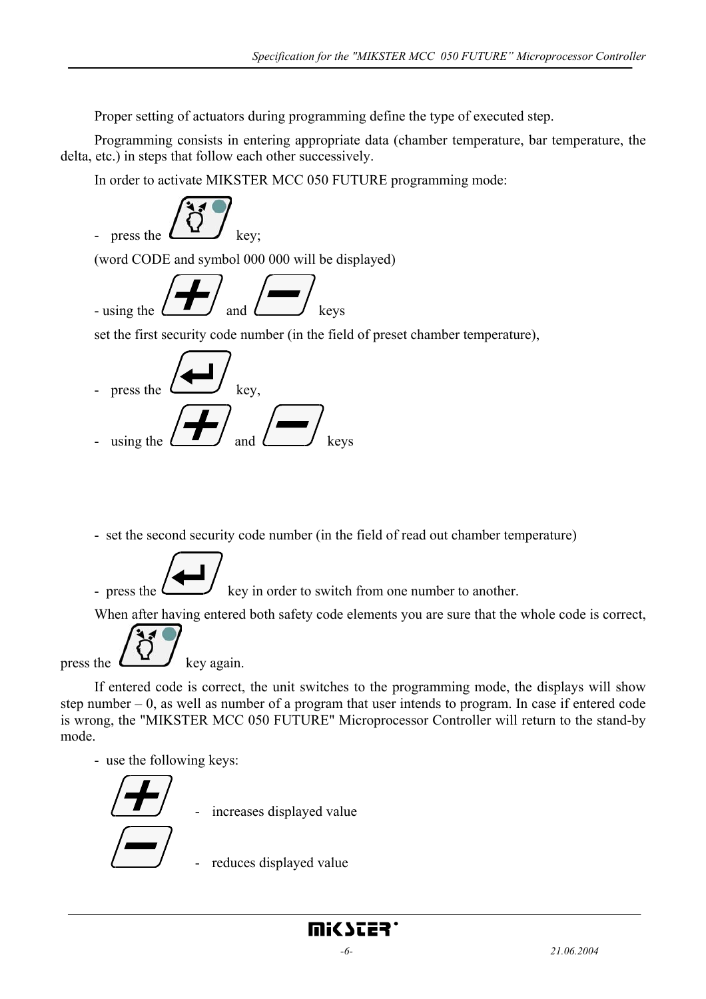Proper setting of actuators during programming define the type of executed step.

Programming consists in entering appropriate data (chamber temperature, bar temperature, the delta, etc.) in steps that follow each other successively.

In order to activate MIKSTER MCC 050 FUTURE programming mode:



- set the second security code number (in the field of read out chamber temperature)
- press the  $\sim$  key in order to switch from one number to another.

When after having entered both safety code elements you are sure that the whole code is correct,

press the  $\Box$  key again.

If entered code is correct, the unit switches to the programming mode, the displays will show step number – 0, as well as number of a program that user intends to program. In case if entered code is wrong, the "MIKSTER MCC 050 FUTURE" Microprocessor Controller will return to the stand-by mode.

- use the following keys:

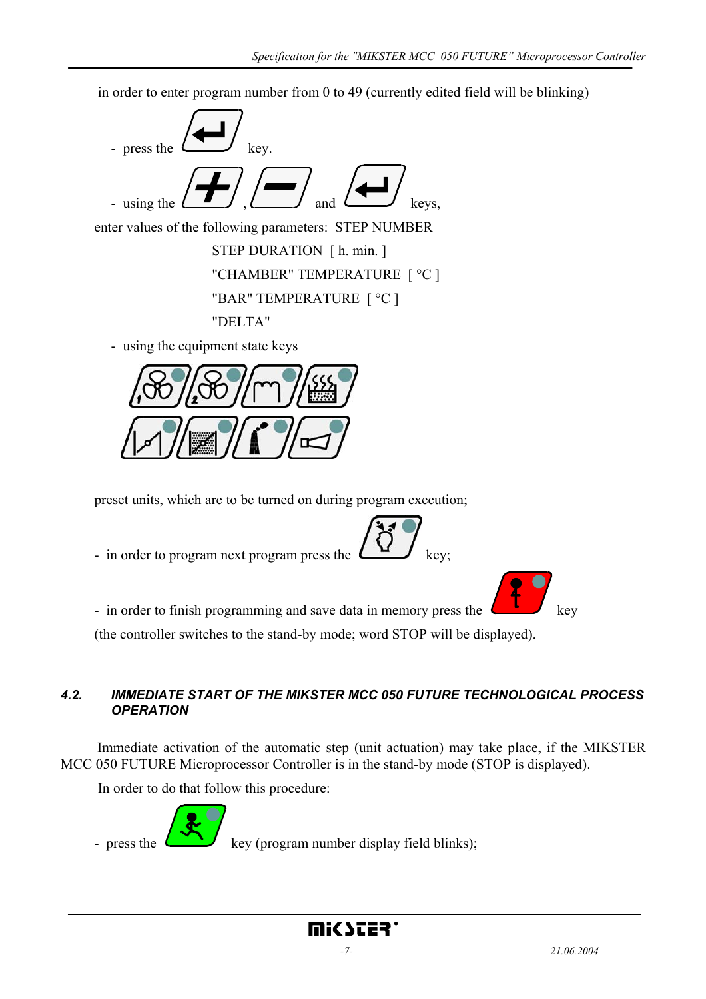in order to enter program number from 0 to 49 (currently edited field will be blinking)



- using the equipment state keys



preset units, which are to be turned on during program execution;

- in order to program next program press the  $\Box$  key;



- in order to finish programming and save data in memory press the

(the controller switches to the stand-by mode; word STOP will be displayed).

# *4.2. IMMEDIATE START OF THE MIKSTER MCC 050 FUTURE TECHNOLOGICAL PROCESS OPERATION*

Immediate activation of the automatic step (unit actuation) may take place, if the MIKSTER MCC 050 FUTURE Microprocessor Controller is in the stand-by mode (STOP is displayed).

mic scea:

In order to do that follow this procedure:

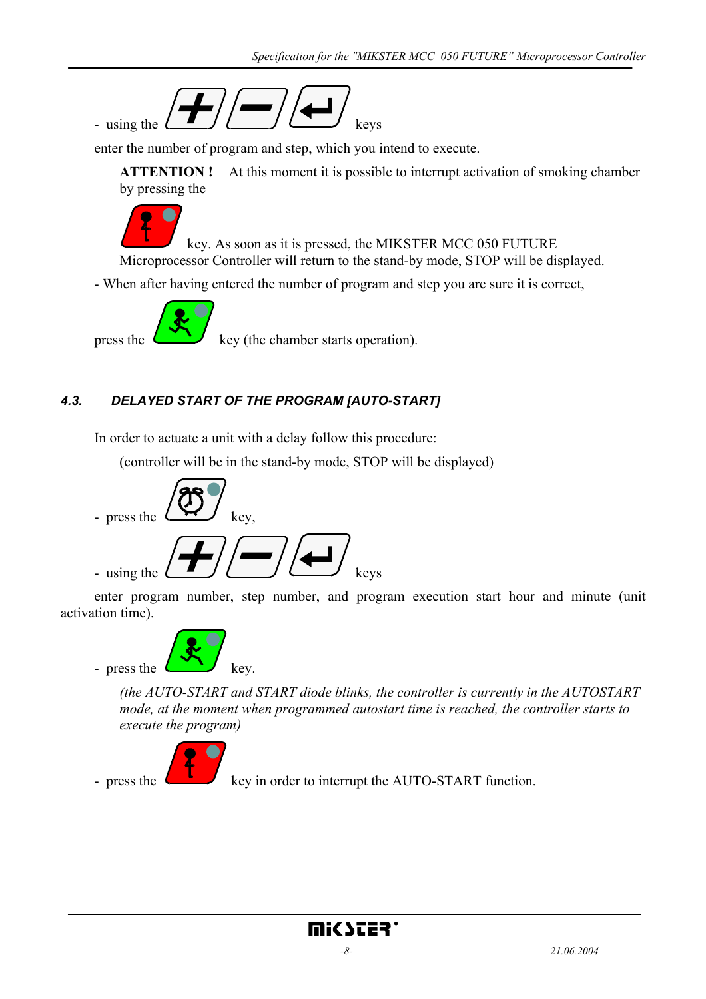

enter the number of program and step, which you intend to execute.

**ATTENTION !** At this moment it is possible to interrupt activation of smoking chamber by pressing the



 key. As soon as it is pressed, the MIKSTER MCC 050 FUTURE Microprocessor Controller will return to the stand-by mode, STOP will be displayed.

- When after having entered the number of program and step you are sure it is correct,



press the  $k<sup>2</sup>$  key (the chamber starts operation).

# *4.3. DELAYED START OF THE PROGRAM [AUTO-START]*

In order to actuate a unit with a delay follow this procedure:

(controller will be in the stand-by mode, STOP will be displayed)



enter program number, step number, and program execution start hour and minute (unit activation time).



*(the AUTO-START and START diode blinks, the controller is currently in the AUTOSTART mode, at the moment when programmed autostart time is reached, the controller starts to execute the program)* 



- press the  $k$  key in order to interrupt the AUTO-START function.

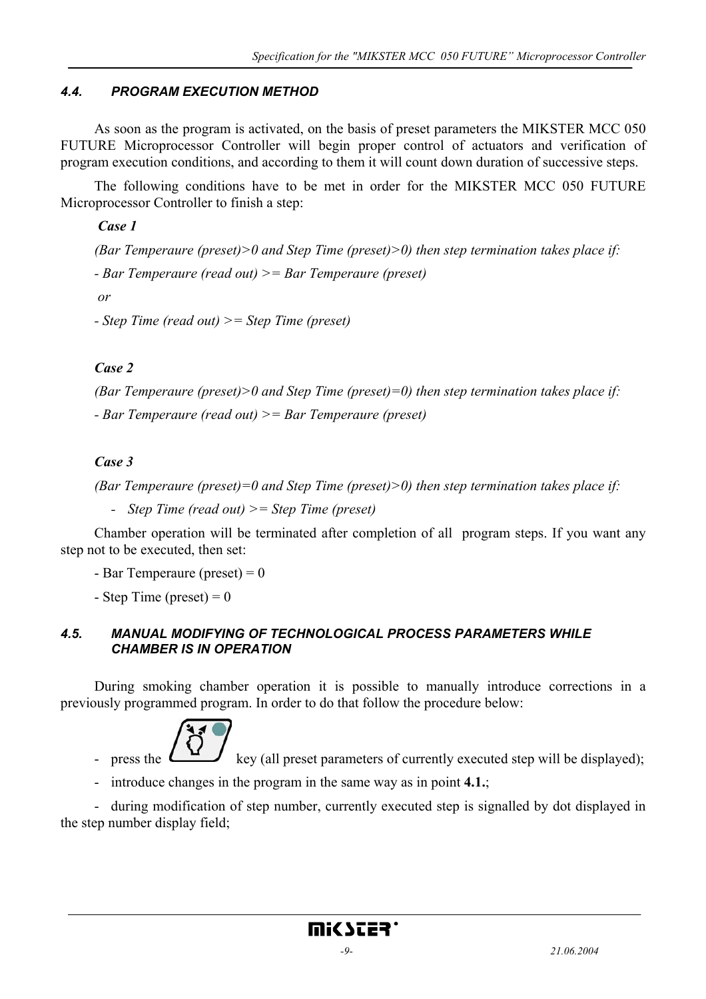### *4.4. PROGRAM EXECUTION METHOD*

As soon as the program is activated, on the basis of preset parameters the MIKSTER MCC 050 FUTURE Microprocessor Controller will begin proper control of actuators and verification of program execution conditions, and according to them it will count down duration of successive steps.

The following conditions have to be met in order for the MIKSTER MCC 050 FUTURE Microprocessor Controller to finish a step:

 *Case 1* 

*(Bar Temperaure (preset)>0 and Step Time (preset)>0) then step termination takes place if: - Bar Temperaure (read out) >= Bar Temperaure (preset) or* 

*- Step Time (read out) >= Step Time (preset)* 

*Case 2* 

*(Bar Temperaure (preset)>0 and Step Time (preset)=0) then step termination takes place if: - Bar Temperaure (read out) >= Bar Temperaure (preset)* 

#### *Case 3*

*(Bar Temperaure (preset)=0 and Step Time (preset)>0) then step termination takes place if:* 

 *- Step Time (read out) >= Step Time (preset)* 

Chamber operation will be terminated after completion of all program steps. If you want any step not to be executed, then set:

- Bar Temperaure (preset)  $= 0$ 

- Step Time (preset)  $= 0$ 

#### *4.5. MANUAL MODIFYING OF TECHNOLOGICAL PROCESS PARAMETERS WHILE CHAMBER IS IN OPERATION*

During smoking chamber operation it is possible to manually introduce corrections in a previously programmed program. In order to do that follow the procedure below:



press the key (all preset parameters of currently executed step will be displayed);

- introduce changes in the program in the same way as in point **4.1.**;

- during modification of step number, currently executed step is signalled by dot displayed in the step number display field;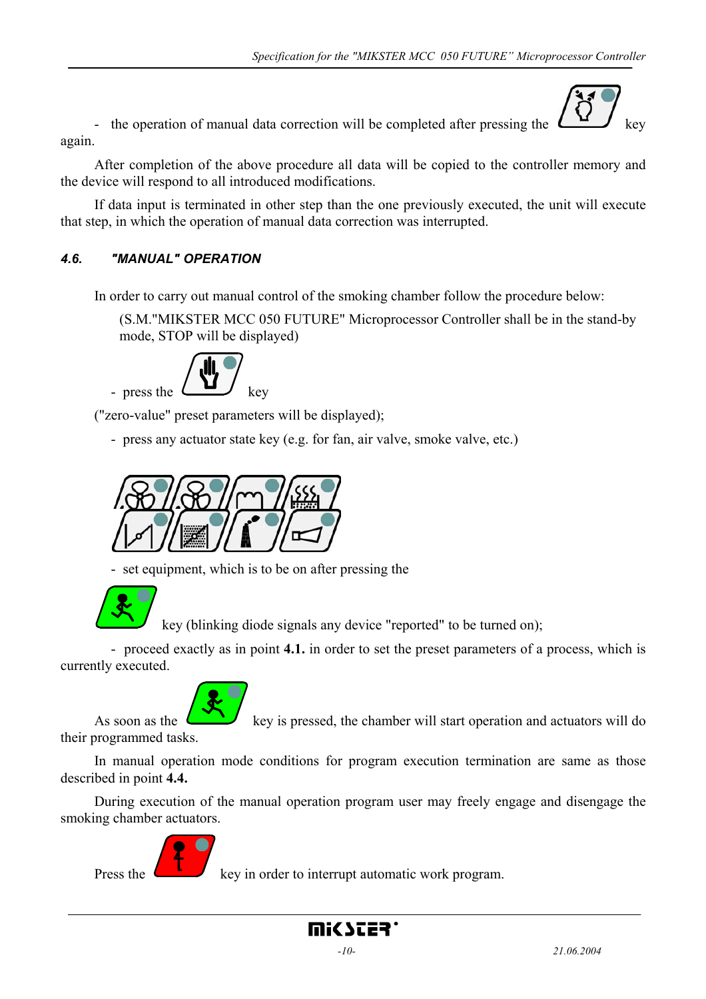- the operation of manual data correction will be completed after pressing the  $\Box$  key again.



After completion of the above procedure all data will be copied to the controller memory and the device will respond to all introduced modifications.

If data input is terminated in other step than the one previously executed, the unit will execute that step, in which the operation of manual data correction was interrupted.

# *4.6. "MANUAL" OPERATION*

In order to carry out manual control of the smoking chamber follow the procedure below:

(S.M."MIKSTER MCC 050 FUTURE" Microprocessor Controller shall be in the stand-by mode, STOP will be displayed)



("zero-value" preset parameters will be displayed);

- press any actuator state key (e.g. for fan, air valve, smoke valve, etc.)



- set equipment, which is to be on after pressing the



key (blinking diode signals any device "reported" to be turned on);

 - proceed exactly as in point **4.1.** in order to set the preset parameters of a process, which is currently executed.



As soon as the  $\left\langle \left\langle \cdot \right\rangle \right\rangle$  key is pressed, the chamber will start operation and actuators will do

their programmed tasks.

In manual operation mode conditions for program execution termination are same as those described in point **4.4.**

During execution of the manual operation program user may freely engage and disengage the smoking chamber actuators.



Press the  $k$  key in order to interrupt automatic work program.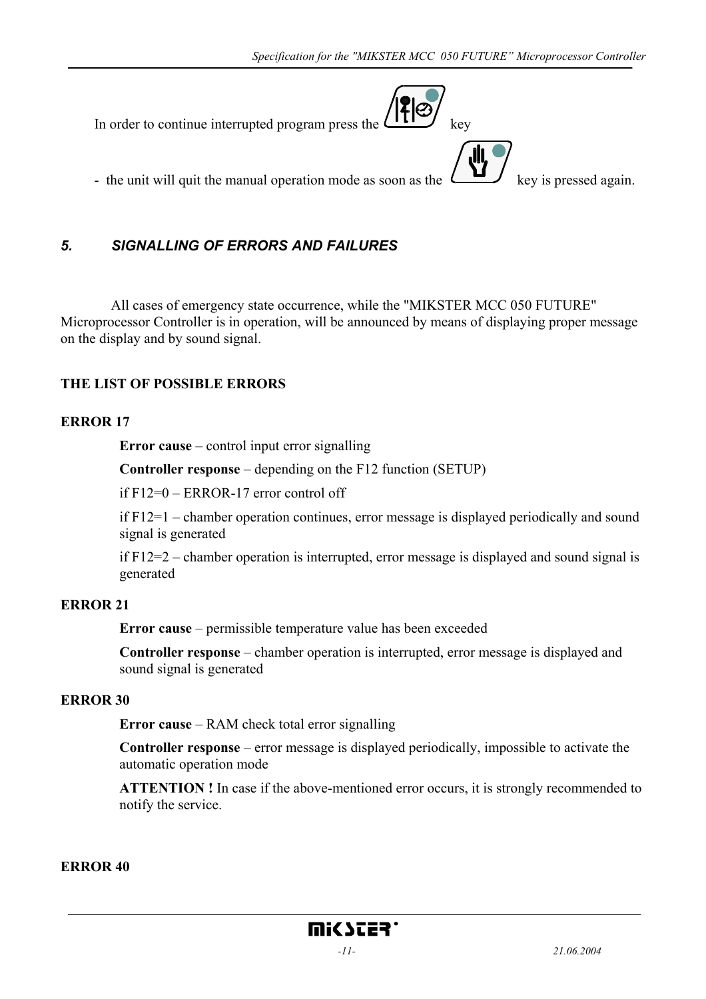

# *5. SIGNALLING OF ERRORS AND FAILURES*

 All cases of emergency state occurrence, while the "MIKSTER MCC 050 FUTURE" Microprocessor Controller is in operation, will be announced by means of displaying proper message on the display and by sound signal.

#### **THE LIST OF POSSIBLE ERRORS**

#### **ERROR 17**

**Error cause** – control input error signalling

**Controller response** – depending on the F12 function (SETUP)

if F12=0 – ERROR-17 error control off

if F12=1 – chamber operation continues, error message is displayed periodically and sound signal is generated

if F12=2 – chamber operation is interrupted, error message is displayed and sound signal is generated

#### **ERROR 21**

**Error cause** – permissible temperature value has been exceeded

**Controller response** – chamber operation is interrupted, error message is displayed and sound signal is generated

#### **ERROR 30**

**Error cause** – RAM check total error signalling

**Controller response** – error message is displayed periodically, impossible to activate the automatic operation mode

**ATTENTION !** In case if the above-mentioned error occurs, it is strongly recommended to notify the service.

#### **ERROR 40**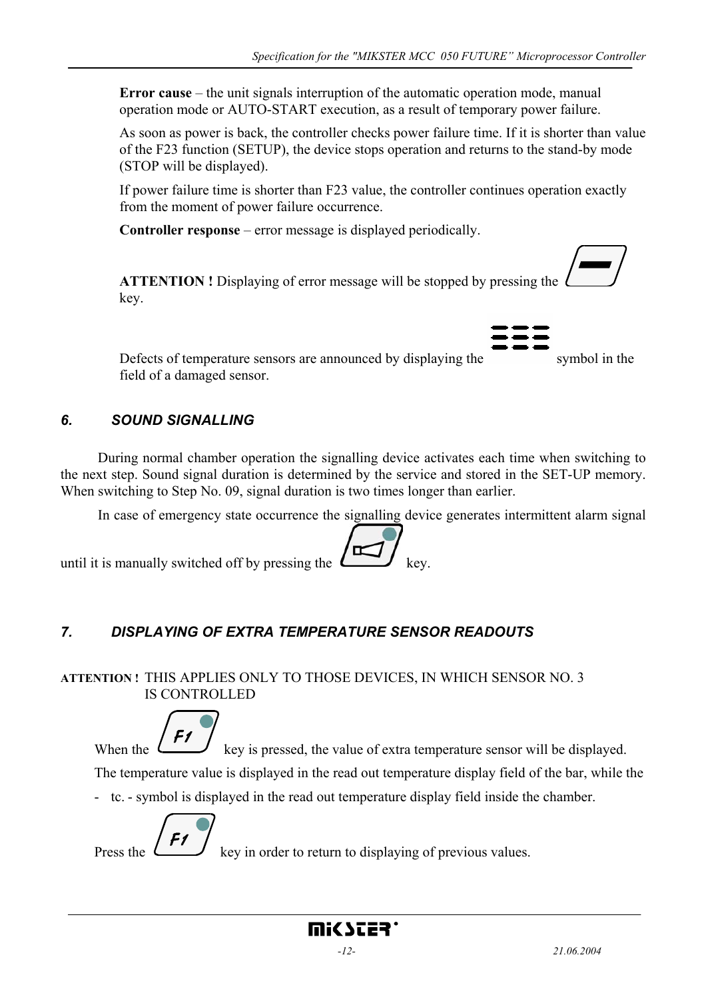**Error cause** – the unit signals interruption of the automatic operation mode, manual operation mode or AUTO-START execution, as a result of temporary power failure.

As soon as power is back, the controller checks power failure time. If it is shorter than value of the F23 function (SETUP), the device stops operation and returns to the stand-by mode (STOP will be displayed).

If power failure time is shorter than F23 value, the controller continues operation exactly from the moment of power failure occurrence.

**Controller response** – error message is displayed periodically.

**ATTENTION !** Displaying of error message will be stopped by pressing the key.

Defects of temperature sensors are announced by displaying the symbol in the field of a damaged sensor.

# *6. SOUND SIGNALLING*

 During normal chamber operation the signalling device activates each time when switching to the next step. Sound signal duration is determined by the service and stored in the SET-UP memory. When switching to Step No. 09, signal duration is two times longer than earlier.

In case of emergency state occurrence the signalling device generates intermittent alarm signal

until it is manually switched off by pressing the  $\Box$  key.

# *7. DISPLAYING OF EXTRA TEMPERATURE SENSOR READOUTS*

**ATTENTION !** THIS APPLIES ONLY TO THOSE DEVICES, IN WHICH SENSOR NO. 3 IS CONTROLLED

F1 When the  $\mathcal{L}$  key is pressed, the value of extra temperature sensor will be displayed.

The temperature value is displayed in the read out temperature display field of the bar, while the

- tc. - symbol is displayed in the read out temperature display field inside the chamber.



Press the  $\mathcal{L}$  key in order to return to displaying of previous values.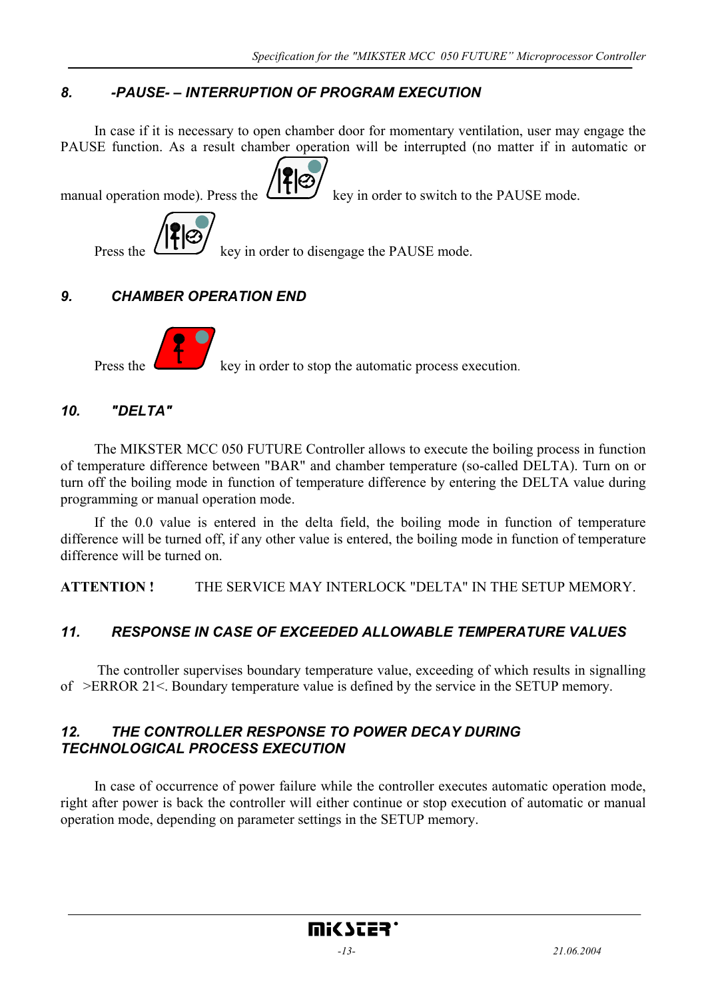# *8. -PAUSE- – INTERRUPTION OF PROGRAM EXECUTION*

In case if it is necessary to open chamber door for momentary ventilation, user may engage the PAUSE function. As a result chamber operation will be interrupted (no matter if in automatic or





Press the  $k$  key in order to stop the automatic process execution.

#### *10. "DELTA"*

The MIKSTER MCC 050 FUTURE Controller allows to execute the boiling process in function of temperature difference between "BAR" and chamber temperature (so-called DELTA). Turn on or turn off the boiling mode in function of temperature difference by entering the DELTA value during programming or manual operation mode.

If the 0.0 value is entered in the delta field, the boiling mode in function of temperature difference will be turned off, if any other value is entered, the boiling mode in function of temperature difference will be turned on.

**ATTENTION !** THE SERVICE MAY INTERLOCK "DELTA" IN THE SETUP MEMORY.

# *11. RESPONSE IN CASE OF EXCEEDED ALLOWABLE TEMPERATURE VALUES*

The controller supervises boundary temperature value, exceeding of which results in signalling of >ERROR 21<. Boundary temperature value is defined by the service in the SETUP memory.

#### *12. THE CONTROLLER RESPONSE TO POWER DECAY DURING TECHNOLOGICAL PROCESS EXECUTION*

In case of occurrence of power failure while the controller executes automatic operation mode, right after power is back the controller will either continue or stop execution of automatic or manual operation mode, depending on parameter settings in the SETUP memory.